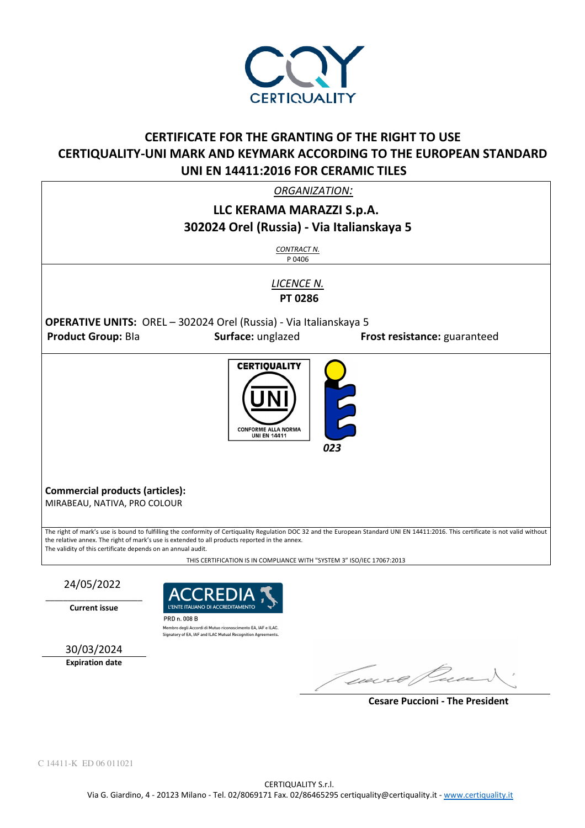

## **CERTIFICATE FOR THE GRANTING OF THE RIGHT TO USE CERTIQUALITY-UNI MARK AND KEYMARK ACCORDING TO THE EUROPEAN STANDARD UNI EN 14411:2016 FOR CERAMIC TILES**

*ORGANIZATION:* 

## **LLC KERAMA MARAZZI S.p.A. 302024 Orel (Russia) - Via Italianskaya 5**

*CONTRACT N.* P 0406

*LICENCE N.*   **PT 0286** 

**OPERATIVE UNITS:** OREL – 302024 Orel (Russia) - Via Italianskaya 5

**Product Group:** BIa **Surface:** unglazed **Frost resistance:** guaranteed

l **CERTIQUALITY** CONFORME ALLA NORMA **UNI EN 14411**  *023*

**Commercial products (articles):**  MIRABEAU, NATIVA, PRO COLOUR

The right of mark's use is bound to fulfilling the conformity of Certiquality Regulation DOC 32 and the European Standard UNI EN 14411:2016. This certificate is not valid without the relative annex. The right of mark's use is extended to all products reported in the annex. The validity of this certificate depends on an annual audit.

THIS CERTIFICATION IS IN COMPLIANCE WITH "SYSTEM 3" ISO/IEC 17067:2013

24/05/2022

\_\_\_\_\_\_\_\_\_\_\_\_\_\_\_\_\_\_\_\_\_\_ **Current issue** 



PRD n. 008 B Membro degli Accordi di Mutuo riconoscimento EA, IAF e ILAC Signatory of EA, IAF and ILAC Mutual Recognition Agreeme



George Pec

 **Cesare Puccioni - The President**

C 14411-K ED 06 011021